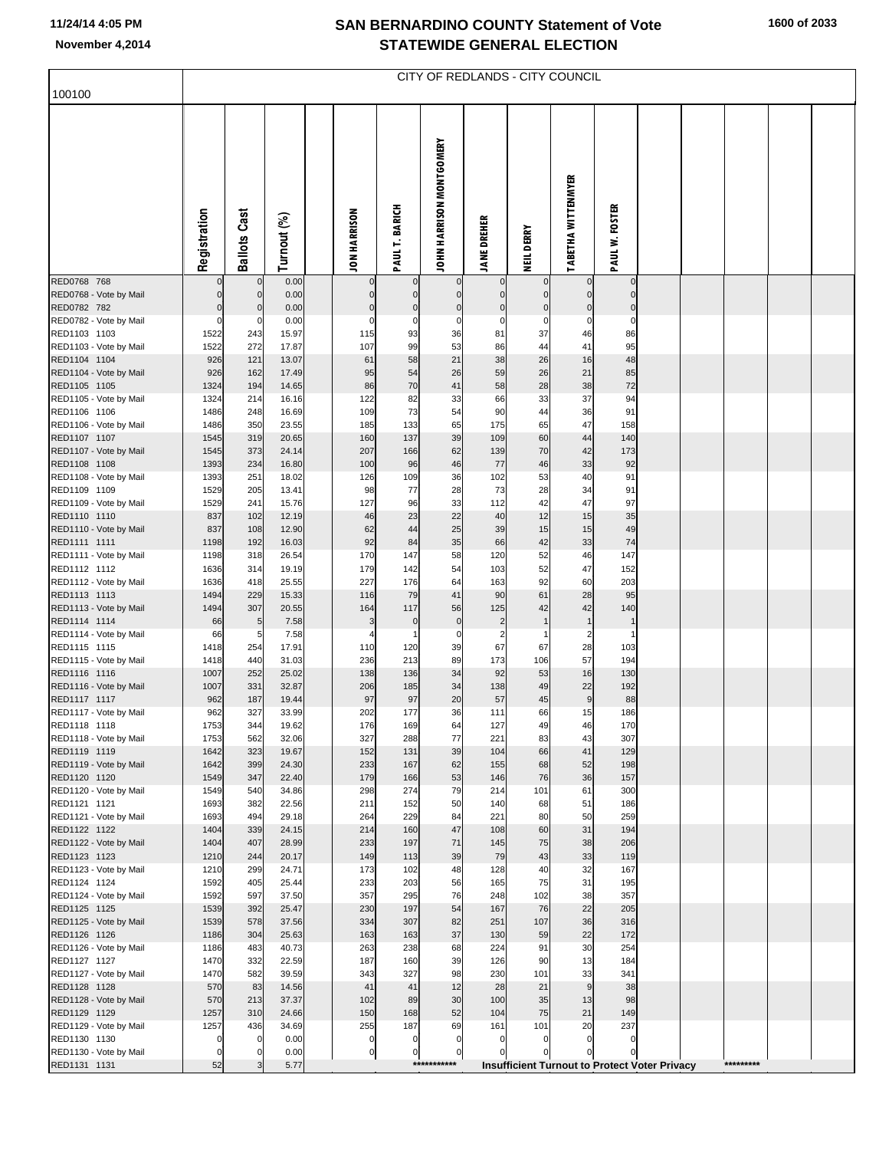## **SAN BERNARDINO COUNTY Statement of Vote November 4,2014 STATEWIDE GENERAL ELECTION**

| 100100                                 | CITY OF REDLANDS - CITY COUNCIL |                     |                |  |                     |                            |                            |                     |                             |                                                      |                               |  |  |           |  |
|----------------------------------------|---------------------------------|---------------------|----------------|--|---------------------|----------------------------|----------------------------|---------------------|-----------------------------|------------------------------------------------------|-------------------------------|--|--|-----------|--|
|                                        |                                 |                     |                |  |                     |                            |                            |                     |                             |                                                      |                               |  |  |           |  |
|                                        | Registration                    | <b>Ballots Cast</b> | Turnout (%)    |  | <b>JON HARRISON</b> | <b>PAULT. BARICH</b>       | JOHN HARRISON MONTGOMERY   | <b>JANE DREHER</b>  | NEIL DERRY                  | <b>TABETHA WITTENMYER</b>                            | <b>PAUL W. FOSTER</b>         |  |  |           |  |
| RED0768 768<br>RED0768 - Vote by Mail  | $\pmb{0}$                       | $\mathbf 0$         | 0.00<br>0.00   |  | $\mathbf 0$         | $\mathbf 0$<br>$\mathbf 0$ | $\Omega$                   |                     | $\mathbf 0$<br>$\mathbf{0}$ |                                                      | $\mathbf 0$<br>$\overline{0}$ |  |  |           |  |
| RED0782 782                            | $\mathbf 0$                     | $\mathbf 0$         | 0.00           |  | $\mathbf 0$         | $\bf{0}$                   | $\mathbf 0$                | $\mathbf 0$         | $\pmb{0}$                   | $\mathbf 0$                                          | $\overline{0}$                |  |  |           |  |
| RED0782 - Vote by Mail<br>RED1103 1103 | $\mathbf 0$<br>1522             | 0<br>243            | 0.00<br>15.97  |  | $\mathsf{C}$<br>115 | 0<br>93                    | $\mathbf 0$<br>36          | C<br>81             | $\mathbf 0$<br>37           | 0<br>46                                              | $\mathbf 0$<br>86             |  |  |           |  |
| RED1103 - Vote by Mail                 | 1522                            | 272                 | 17.87          |  | 107                 | 99                         | 53                         | 86                  | 44                          | 41                                                   | 95                            |  |  |           |  |
| RED1104 1104                           | 926                             | 121                 | 13.07          |  | 61                  | 58                         | 21                         | 38                  | 26                          | 16                                                   | 48                            |  |  |           |  |
| RED1104 - Vote by Mail<br>RED1105 1105 | 926<br>1324                     | 162<br>194          | 17.49<br>14.65 |  | 95<br>86            | 54<br>70                   | 26<br>41                   | 59<br>58            | 26<br>28                    | 21<br>38                                             | 85<br>72                      |  |  |           |  |
| RED1105 - Vote by Mail                 | 1324                            | 214                 | 16.16          |  | 122                 | 82                         | 33                         | 66                  | 33                          | 37                                                   | 94                            |  |  |           |  |
| RED1106 1106                           | 1486                            | 248                 | 16.69          |  | 109                 | 73                         | 54                         | 90                  | 44                          | 36                                                   | 91                            |  |  |           |  |
| RED1106 - Vote by Mail<br>RED1107 1107 | 1486<br>1545                    | 350<br>319          | 23.55<br>20.65 |  | 185<br>160          | 133<br>137                 | 65<br>39                   | 175<br>109          | 65<br>60                    | 47<br>44                                             | 158<br>140                    |  |  |           |  |
| RED1107 - Vote by Mail                 | 1545                            | 373                 | 24.14          |  | 207                 | 166                        | 62                         | 139                 | 70                          | 42                                                   | 173                           |  |  |           |  |
| RED1108 1108<br>RED1108 - Vote by Mail | 1393<br>1393                    | 234<br>251          | 16.80<br>18.02 |  | 100<br>126          | 96<br>109                  | 46<br>36                   | 77<br>102           | 46                          | 33<br>40                                             | 92<br>91                      |  |  |           |  |
| RED1109 1109                           | 1529                            | 205                 | 13.41          |  | 98                  | 77                         | 28                         | 73                  | 53<br>28                    | 34                                                   | 91                            |  |  |           |  |
| RED1109 - Vote by Mail                 | 1529                            | 241                 | 15.76          |  | 127                 | 96                         | 33                         | 112                 | 42                          | 47                                                   | 97                            |  |  |           |  |
| RED1110 1110<br>RED1110 - Vote by Mail | 837<br>837                      | 102<br>108          | 12.19<br>12.90 |  | 46<br>62            | 23<br>44                   | 22<br>25                   | 40<br>39            | 12<br>15                    | 15<br>15                                             | 35<br>49                      |  |  |           |  |
| RED1111 1111                           | 1198                            | 192                 | 16.03          |  | 92                  | 84                         | 35                         | 66                  | 42                          | 33                                                   | 74                            |  |  |           |  |
| RED1111 - Vote by Mail                 | 1198                            | 318                 | 26.54          |  | 170                 | 147                        | 58                         | 120                 | 52                          | 46                                                   | 147                           |  |  |           |  |
| RED1112 1112<br>RED1112 - Vote by Mail | 1636<br>1636                    | 314<br>418          | 19.19<br>25.55 |  | 179<br>227          | 142<br>176                 | 54<br>64                   | 103<br>163          | 52<br>92                    | 47<br>60                                             | 152<br>203                    |  |  |           |  |
| RED1113 1113                           | 1494                            | 229                 | 15.33          |  | 116                 | 79                         | 41                         | 90                  | 61                          | 28                                                   | 95                            |  |  |           |  |
| RED1113 - Vote by Mail                 | 1494                            | 307                 | 20.55          |  | 164                 | 117                        | 56                         | 125                 | 42                          | 42                                                   | 140                           |  |  |           |  |
| RED1114 1114<br>RED1114 - Vote by Mail | 66<br>66                        | 5<br>5              | 7.58<br>7.58   |  | 3<br>4              | $\pmb{0}$                  | $\pmb{0}$<br>0             | $\overline{2}$<br>2 | $\mathbf{1}$                | $\overline{1}$<br>2                                  | $\mathbf{1}$                  |  |  |           |  |
| RED1115 1115                           | 1418                            | 254                 | 17.91          |  | 110                 | 120                        | 39                         | 67                  | 67                          | 28                                                   | 103                           |  |  |           |  |
| RED1115 - Vote by Mail<br>RED1116 1116 | 1418<br>1007                    | 440<br>252          | 31.03<br>25.02 |  | 236<br>138          | 213                        | 89                         | 173<br>92           | 106                         | 57                                                   | 194<br>130                    |  |  |           |  |
| RED1116 - Vote by Mail                 | 1007                            | 331                 | 32.87          |  | 206                 | 136<br>185                 | 34<br>34                   | 138                 | 53<br>49                    | 16<br>22                                             | 192                           |  |  |           |  |
| RED1117 1117                           | 962                             | 187                 | 19.44          |  | 97                  | 97                         | 20                         | 57                  | 45                          | $\boldsymbol{9}$                                     | 88                            |  |  |           |  |
| RED1117 - Vote by Mail<br>RED1118 1118 | 962<br>1753                     | 327<br>344          | 33.99<br>19.62 |  | 202<br>176          | 177<br>169                 | 36<br>64                   | 111<br>127          | 66<br>49                    | 15<br>46                                             | 186<br>170                    |  |  |           |  |
| RED1118 - Vote by Mail                 | 1753                            | 562                 | 32.06          |  | 327                 | 288                        | 77                         | 221                 | 83                          | 43                                                   | 307                           |  |  |           |  |
| RED1119 1119                           | 1642                            | 323                 | 19.67          |  | 152                 | 131                        | 39                         | 104                 | 66                          | 41                                                   | 129                           |  |  |           |  |
| RED1119 - Vote by Mail<br>RED1120 1120 | 1642<br>1549                    | 399<br>347          | 24.30<br>22.40 |  | 233<br>179          | 167<br>166                 | 62<br>53                   | 155<br>146          | 68<br>76                    | 52<br>36                                             | 198<br>157                    |  |  |           |  |
| RED1120 - Vote by Mail                 | 1549                            | 540                 | 34.86          |  | 298                 | 274                        | 79                         | 214                 | 101                         | 61                                                   | 300                           |  |  |           |  |
| RED1121 1121                           | 1693                            | 382                 | 22.56          |  | 211                 | 152                        | 50                         | 140                 | 68                          | 51                                                   | 186                           |  |  |           |  |
| RED1121 - Vote by Mail<br>RED1122 1122 | 1693<br>1404                    | 494<br>339          | 29.18<br>24.15 |  | 264<br>214          | 229<br>160                 | 84<br>47                   | 221<br>108          | 80<br>60                    | 50<br>31                                             | 259<br>194                    |  |  |           |  |
| RED1122 - Vote by Mail                 | 1404                            | 407                 | 28.99          |  | 233                 | 197                        | 71                         | 145                 | 75                          | 38                                                   | 206                           |  |  |           |  |
| RED1123 1123<br>RED1123 - Vote by Mail | 1210<br>1210                    | 244<br>299          | 20.17<br>24.71 |  | 149<br>173          | 113<br>102                 | 39<br>48                   | 79<br>128           | 43<br>40                    | 33<br>32                                             | 119<br>167                    |  |  |           |  |
| RED1124 1124                           | 1592                            | 405                 | 25.44          |  | 233                 | 203                        | 56                         | 165                 | 75                          | 31                                                   | 195                           |  |  |           |  |
| RED1124 - Vote by Mail                 | 1592                            | 597                 | 37.50          |  | 357                 | 295                        | 76                         | 248                 | 102                         | 38                                                   | 357                           |  |  |           |  |
| RED1125 1125<br>RED1125 - Vote by Mail | 1539<br>1539                    | 392<br>578          | 25.47<br>37.56 |  | 230<br>334          | 197<br>307                 | 54<br>82                   | 167<br>251          | 76<br>107                   | 22<br>36                                             | 205<br>316                    |  |  |           |  |
| RED1126 1126                           | 1186                            | 304                 | 25.63          |  | 163                 | 163                        | 37                         | 130                 | 59                          | 22                                                   | 172                           |  |  |           |  |
| RED1126 - Vote by Mail                 | 1186                            | 483                 | 40.73          |  | 263                 | 238                        | 68                         | 224                 | 91                          | 30                                                   | 254                           |  |  |           |  |
| RED1127 1127<br>RED1127 - Vote by Mail | 1470<br>1470                    | 332<br>582          | 22.59<br>39.59 |  | 187<br>343          | 160<br>327                 | 39<br>98                   | 126<br>230          | 90<br>101                   | 13<br>33                                             | 184<br>341                    |  |  |           |  |
| RED1128 1128                           | 570                             | 83                  | 14.56          |  | 41                  | 41                         | 12                         | 28                  | 21                          | 9                                                    | 38                            |  |  |           |  |
| RED1128 - Vote by Mail                 | 570                             | 213                 | 37.37          |  | 102                 | 89                         | 30                         | 100                 | 35                          | 13                                                   | 98                            |  |  |           |  |
| RED1129 1129<br>RED1129 - Vote by Mail | 1257<br>1257                    | 310<br>436          | 24.66<br>34.69 |  | 150<br>255          | 168<br>187                 | 52<br>69                   | 104<br>161          | 75<br>101                   | 21<br>20                                             | 149<br>237                    |  |  |           |  |
| RED1130 1130                           | $\mathbf 0$                     | 0                   | 0.00           |  | $\pmb{0}$           | $\mathbf 0$                | $\overline{0}$             | $\mathbf 0$         | $\mathbf 0$                 | $\mathbf 0$                                          | $\overline{0}$                |  |  |           |  |
| RED1130 - Vote by Mail                 | $\mathbf 0$                     | O                   | 0.00           |  | $\pmb{0}$           | $\mathbf 0$                | $\mathbf 0$<br>*********** | $\mathcal{C}$       | $\Omega$                    | $\Omega$                                             | $\mathbf 0$                   |  |  | ********* |  |
| RED1131 1131                           | 52                              |                     | 5.77           |  |                     |                            |                            |                     |                             | <b>Insufficient Turnout to Protect Voter Privacy</b> |                               |  |  |           |  |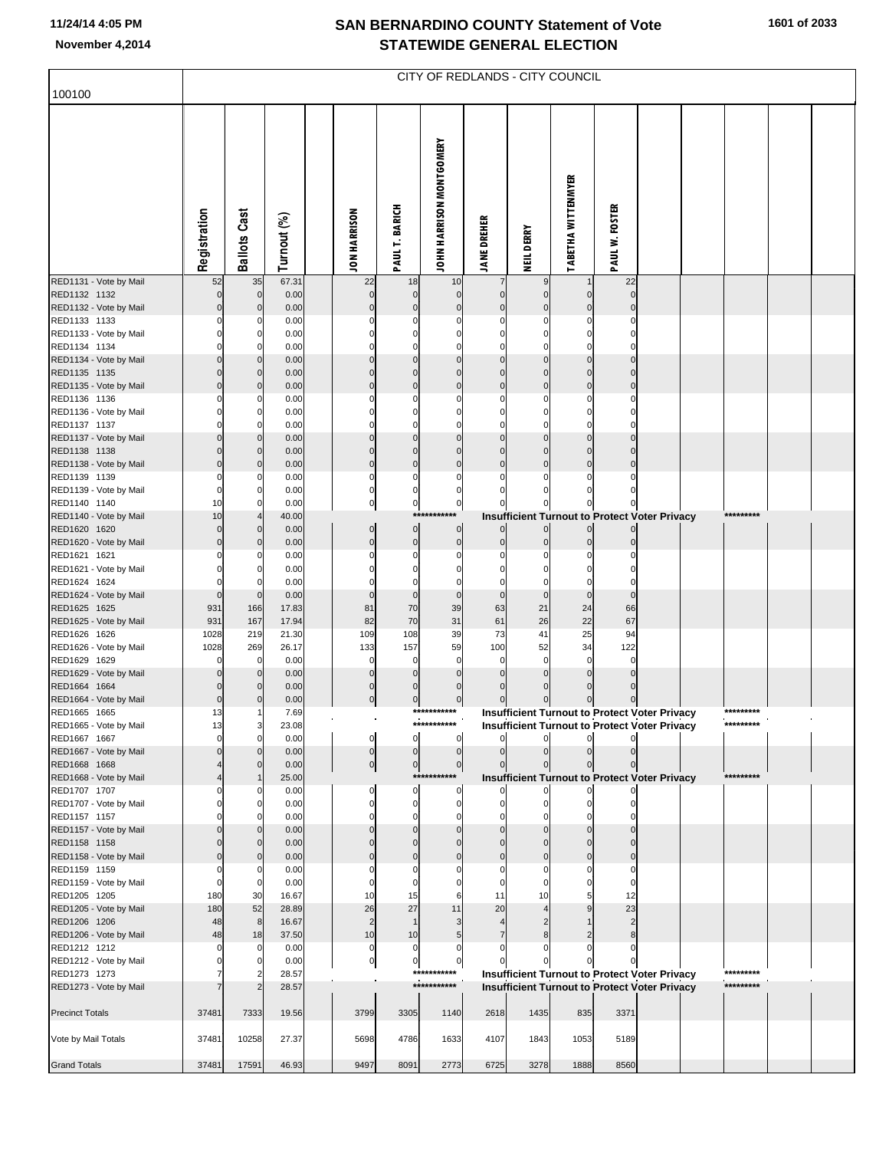## **SAN BERNARDINO COUNTY Statement of Vote November 4,2014 STATEWIDE GENERAL ELECTION**

|                                        | <b>CITY OF REDLANDS - CITY COUNCIL</b> |                            |               |  |                           |                         |                          |                    |                   |                           |                |                                                      |  |           |  |
|----------------------------------------|----------------------------------------|----------------------------|---------------|--|---------------------------|-------------------------|--------------------------|--------------------|-------------------|---------------------------|----------------|------------------------------------------------------|--|-----------|--|
| 100100                                 |                                        |                            |               |  |                           |                         |                          |                    |                   |                           |                |                                                      |  |           |  |
|                                        | Registration                           | <b>Ballots Cast</b>        | Turnout (%)   |  | <b>JON HARRISON</b>       | PAULT. BARICH           | JOHN HARRISON MONTGOMERY | <b>JANE DREHER</b> | <b>NEIL DERRY</b> | <b>TABETHA WITTENMYER</b> | PAUL W. FOSTER |                                                      |  |           |  |
| RED1131 - Vote by Mail                 | 52                                     | 35                         | 67.31         |  | 22                        | 18                      | 10                       |                    |                   |                           | 22             |                                                      |  |           |  |
| RED1132 1132<br>RED1132 - Vote by Mail |                                        | $\mathbf 0$<br>$\mathbf 0$ | 0.00<br>0.00  |  | $\Omega$                  | $\mathbf 0$<br>$\Omega$ | $\mathbf 0$              |                    |                   |                           | $\Omega$       |                                                      |  |           |  |
| RED1133 1133                           |                                        | 0                          | 0.00          |  |                           |                         |                          |                    |                   |                           |                |                                                      |  |           |  |
| RED1133 - Vote by Mail                 |                                        | 0                          | 0.00          |  |                           |                         |                          |                    |                   |                           |                |                                                      |  |           |  |
| RED1134 1134                           |                                        | $\Omega$                   | 0.00          |  |                           | $\Omega$                |                          |                    |                   |                           |                |                                                      |  |           |  |
| RED1134 - Vote by Mail<br>RED1135 1135 |                                        | $\mathbf 0$<br>$\mathbf 0$ | 0.00<br>0.00  |  |                           | $\Omega$                |                          |                    | $\Omega$          |                           |                |                                                      |  |           |  |
| RED1135 - Vote by Mail                 |                                        | $\mathbf 0$                | 0.00          |  |                           | $\Omega$                |                          |                    |                   | $\Omega$                  |                |                                                      |  |           |  |
| RED1136 1136                           |                                        | 0                          | 0.00          |  |                           |                         |                          |                    |                   |                           |                |                                                      |  |           |  |
| RED1136 - Vote by Mail                 |                                        | $\mathbf 0$                | 0.00          |  |                           | 0                       |                          |                    |                   |                           |                |                                                      |  |           |  |
| RED1137 1137                           |                                        | $\mathbf 0$                | 0.00          |  |                           | $\Omega$                |                          |                    |                   |                           |                |                                                      |  |           |  |
| RED1137 - Vote by Mail<br>RED1138 1138 |                                        | $\mathbf 0$<br>$\mathbf 0$ | 0.00<br>0.00  |  |                           | $\Omega$<br>$\Omega$    |                          |                    |                   |                           |                |                                                      |  |           |  |
| RED1138 - Vote by Mail                 |                                        | $\mathbf 0$                | 0.00          |  | $\mathcal{C}$             | $\mathbf 0$             | $\Omega$                 |                    | $\Omega$          | $\Omega$                  |                |                                                      |  |           |  |
| RED1139 1139                           |                                        | 0                          | 0.00          |  | C                         | $\Omega$                |                          |                    |                   |                           |                |                                                      |  |           |  |
| RED1139 - Vote by Mail                 |                                        | 0                          | 0.00          |  | 0                         | 0                       | 0                        |                    |                   |                           |                |                                                      |  |           |  |
| RED1140 1140                           | 10                                     | $\mathbf 0$                | 0.00          |  | $\mathbf 0$               | $\mathbf 0$<br>**:      | $\mathbf 0$              |                    |                   |                           |                |                                                      |  | ********* |  |
| RED1140 - Vote by Mail<br>RED1620 1620 | 10<br>$\Omega$                         | $\mathbf 0$                | 40.00<br>0.00 |  | $\mathbf 0$               | $\pmb{0}$               | $\mathbf 0$              |                    | $\mathbf{0}$      | $\overline{0}$            |                | Insufficient Turnout to Protect Voter Privacy        |  |           |  |
| RED1620 - Vote by Mail                 |                                        | $\mathbf{0}$               | 0.00          |  | $\Omega$                  | $\mathbf 0$             | $\mathbf 0$              |                    | $\Omega$          | $\Omega$                  |                |                                                      |  |           |  |
| RED1621 1621                           |                                        |                            | 0.00          |  |                           | 0                       | 0                        |                    |                   |                           |                |                                                      |  |           |  |
| RED1621 - Vote by Mail                 |                                        |                            | 0.00          |  |                           |                         |                          |                    |                   |                           |                |                                                      |  |           |  |
| RED1624 1624                           | $\Omega$<br>$\Omega$                   | $\Omega$                   | 0.00<br>0.00  |  |                           | 0                       | 0<br>$\mathbf 0$         |                    |                   |                           |                |                                                      |  |           |  |
| RED1624 - Vote by Mail<br>RED1625 1625 | 931                                    | $\mathbf 0$<br>166         | 17.83         |  | 81                        | 0<br>70                 | 39                       | 63                 | 21                | 24                        | 66             |                                                      |  |           |  |
| RED1625 - Vote by Mail                 | 931                                    | 167                        | 17.94         |  | 82                        | 70                      | 31                       | 61                 | 26                | 22                        | 67             |                                                      |  |           |  |
| RED1626 1626                           | 1028                                   | 219                        | 21.30         |  | 109                       | 108                     | 39                       | 73                 | 41                | 25                        | 94             |                                                      |  |           |  |
| RED1626 - Vote by Mail                 | 1028                                   | 269                        | 26.17         |  | 133                       | 157                     | 59                       | 100                | 52                | 34                        | 122            |                                                      |  |           |  |
| RED1629 1629<br>RED1629 - Vote by Mail | $\Omega$                               | 0<br>$\mathbf 0$           | 0.00<br>0.00  |  | $\Omega$                  | 0<br>0                  | $\mathbf 0$              |                    | $\Omega$          | $\mathbf 0$               | $\Omega$       |                                                      |  |           |  |
| RED1664 1664                           |                                        | $\Omega$                   | 0.00          |  | $\Omega$                  | $\Omega$                |                          |                    |                   |                           |                |                                                      |  |           |  |
| RED1664 - Vote by Mail                 | $\pmb{0}$                              | $\mathbf 0$                | 0.00          |  | $\Omega$                  | $\mathbf 0$             | 0                        |                    | 0                 | 이                         |                |                                                      |  |           |  |
| RED1665 1665                           | 13                                     |                            | 7.69          |  |                           |                         | ***<br>********          |                    |                   |                           |                | <b>Insufficient Turnout to Protect Voter Privacy</b> |  | ********* |  |
| RED1665 - Vote by Mail<br>RED1667 1667 | 13<br>$\Omega$                         | 3                          | 23.08         |  | $\mathfrak{o}$            | $\mathbf 0$             | ***********              |                    |                   |                           |                | Insufficient Turnout to Protect Voter Privacy        |  | ********* |  |
| RED1667 - Vote by Mail                 |                                        | 0<br>$\mathbf 0$           | 0.00<br>0.00  |  | $\mathbf 0$               | $\Omega$                | 0<br>$\mathbf 0$         |                    |                   |                           |                |                                                      |  |           |  |
| RED1668 1668                           |                                        | $\mathbf{0}$               | 0.00          |  | $\overline{0}$            | $\overline{0}$          | $\mathbf 0$              |                    |                   |                           |                |                                                      |  |           |  |
| RED1668 - Vote by Mail                 |                                        |                            | 25.00         |  |                           |                         | ***                      |                    |                   |                           |                | <b>Insufficient Turnout to Protect Voter Privacy</b> |  | ********* |  |
| RED1707 1707                           |                                        | 0                          | 0.00          |  | $\Omega$                  | 0                       | 0                        |                    |                   |                           |                |                                                      |  |           |  |
| RED1707 - Vote by Mail<br>RED1157 1157 |                                        | 0<br>$\mathbf 0$           | 0.00<br>0.00  |  | $\mathcal{C}$             | 0<br>$\Omega$           | $\mathbf 0$<br>$\Omega$  |                    |                   |                           |                |                                                      |  |           |  |
| RED1157 - Vote by Mail                 |                                        | $\mathbf{0}$               | 0.00          |  |                           | $\Omega$                |                          |                    |                   |                           |                |                                                      |  |           |  |
| RED1158 1158                           |                                        | $\overline{0}$             | 0.00          |  |                           | $\Omega$                |                          |                    |                   |                           |                |                                                      |  |           |  |
| RED1158 - Vote by Mail                 | $\Omega$                               | $\overline{0}$             | 0.00          |  |                           | $\Omega$                |                          |                    |                   |                           |                |                                                      |  |           |  |
| RED1159 1159<br>RED1159 - Vote by Mail | O<br>$\Omega$                          | $\mathbf 0$<br>$\mathbf 0$ | 0.00<br>0.00  |  | C                         | $\Omega$<br>0           |                          |                    |                   |                           |                |                                                      |  |           |  |
| RED1205 1205                           | 180                                    | 30                         | 16.67         |  | 10                        | 15                      | 6                        | 11                 | 10                |                           | 12             |                                                      |  |           |  |
| RED1205 - Vote by Mail                 | 180                                    | 52                         | 28.89         |  | 26                        | 27                      | 11                       | 20                 |                   |                           | 23             |                                                      |  |           |  |
| RED1206 1206                           | 48                                     | 8                          | 16.67         |  | $\overline{2}$            | $\mathbf{1}$            | 3                        | $\overline{4}$     |                   |                           |                |                                                      |  |           |  |
| RED1206 - Vote by Mail                 | 48                                     | 18                         | 37.50         |  | 10                        | 10                      |                          | $\overline{7}$     |                   |                           | 8              |                                                      |  |           |  |
| RED1212 1212<br>RED1212 - Vote by Mail |                                        | 0<br>0                     | 0.00<br>0.00  |  | $\mathsf{C}$<br>$\pmb{0}$ | 0<br>$\overline{0}$     | 0                        |                    |                   |                           |                |                                                      |  |           |  |
| RED1273 1273                           |                                        |                            | 28.57         |  |                           |                         | ***********              |                    |                   |                           |                | <b>Insufficient Turnout to Protect Voter Privacy</b> |  | ********* |  |
| RED1273 - Vote by Mail                 |                                        |                            | 28.57         |  |                           |                         | ***********              |                    |                   |                           |                | <b>Insufficient Turnout to Protect Voter Privacy</b> |  | ********* |  |
|                                        |                                        |                            |               |  |                           |                         |                          |                    |                   |                           |                |                                                      |  |           |  |
| <b>Precinct Totals</b>                 | 37481                                  | 7333                       | 19.56         |  | 3799                      | 3305                    | 1140                     | 2618               | 1435              | 835                       | 3371           |                                                      |  |           |  |
| Vote by Mail Totals                    | 37481                                  | 10258                      | 27.37         |  | 5698                      | 4786                    | 1633                     | 4107               | 1843              | 1053                      | 5189           |                                                      |  |           |  |
|                                        |                                        |                            |               |  |                           |                         |                          |                    |                   |                           |                |                                                      |  |           |  |
| <b>Grand Totals</b>                    | 37481                                  | 17591                      | 46.93         |  | 9497                      | 8091                    | 2773                     | 6725               | 3278              | 1888                      | 8560           |                                                      |  |           |  |